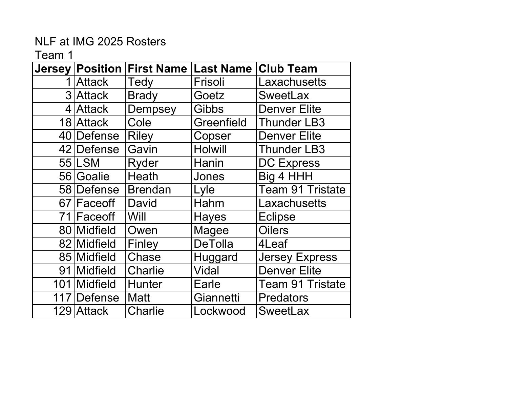| <b>Jersey</b> | <b>Position</b> | <b>First Name</b> | <b>Last Name</b> | <b>Club Team</b>        |
|---------------|-----------------|-------------------|------------------|-------------------------|
|               | 1 Attack        | Tedy              | Frisoli          | Laxachusetts            |
|               | 3 Attack        | <b>Brady</b>      | Goetz            | <b>SweetLax</b>         |
|               | 4 Attack        | <b>Dempsey</b>    | Gibbs            | <b>Denver Elite</b>     |
|               | 18 Attack       | Cole              | Greenfield       | <b>Thunder LB3</b>      |
|               | 40 Defense      | <b>Riley</b>      | Copser           | <b>Denver Elite</b>     |
|               | 42 Defense      | Gavin             | <b>Holwill</b>   | <b>Thunder LB3</b>      |
|               | 55 LSM          | Ryder             | Hanin            | <b>DC Express</b>       |
|               | 56 Goalie       | Heath             | Jones            | Big 4 HHH               |
|               | 58 Defense      | <b>Brendan</b>    | Lyle             | <b>Team 91 Tristate</b> |
|               | 67 Face off     | David             | Hahm             | Laxachusetts            |
|               | 71 Face off     | Will              | <b>Hayes</b>     | <b>Eclipse</b>          |
|               | 80 Midfield     | Owen              | <b>Magee</b>     | <b>Oilers</b>           |
|               | 82 Midfield     | Finley            | <b>DeTolla</b>   | 4Leaf                   |
|               | 85 Midfield     | Chase             | Huggard          | <b>Jersey Express</b>   |
|               | 91 Midfield     | <b>Charlie</b>    | <b>Vidal</b>     | <b>Denver Elite</b>     |
|               | 101 Midfield    | <b>Hunter</b>     | Earle            | <b>Team 91 Tristate</b> |
| 117           | <b>Defense</b>  | <b>Matt</b>       | Giannetti        | <b>Predators</b>        |
|               | 129 Attack      | <b>Charlie</b>    | Lockwood         | <b>SweetLax</b>         |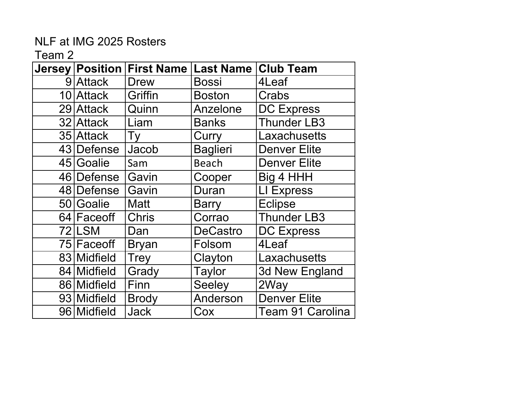| Jersey Position | <b>First Name</b> | <b>Last Name</b> | <b>Club Team</b>        |
|-----------------|-------------------|------------------|-------------------------|
| 9 Attack        | <b>Drew</b>       | Bossi            | 4Leaf                   |
| 10 Attack       | Griffin           | <b>Boston</b>    | Crabs                   |
| 29 Attack       | Quinn             | Anzelone         | <b>DC Express</b>       |
| 32 Attack       | Liam              | <b>Banks</b>     | <b>Thunder LB3</b>      |
| 35 Attack       | Ty                | Curry            | Laxachusetts            |
| 43 Defense      | Jacob             | <b>Baglieri</b>  | <b>Denver Elite</b>     |
| 45 Goalie       | Sam               | <b>Beach</b>     | <b>Denver Elite</b>     |
| 46 Defense      | Gavin             | Cooper           | Big 4 HHH               |
| 48 Defense      | Gavin             | Duran            | LI Express              |
| 50 Goalie       | <b>Matt</b>       | <b>Barry</b>     | <b>Eclipse</b>          |
| 64 Faceoff      | <b>Chris</b>      | Corrao           | <b>Thunder LB3</b>      |
| 72 LSM          | Dan               | <b>DeCastro</b>  | <b>DC Express</b>       |
| 75 Face off     | <b>Bryan</b>      | Folsom           | 4Leaf                   |
| 83 Midfield     | <b>Trey</b>       | Clayton          | Laxachusetts            |
| 84 Midfield     | Grady             | <b>Taylor</b>    | 3d New England          |
| 86 Midfield     | Finn              | Seeley           | 2Way                    |
| 93 Midfield     | <b>Brody</b>      | Anderson         | <b>Denver Elite</b>     |
| 96 Midfield     | <b>Jack</b>       | Cox              | <b>Team 91 Carolina</b> |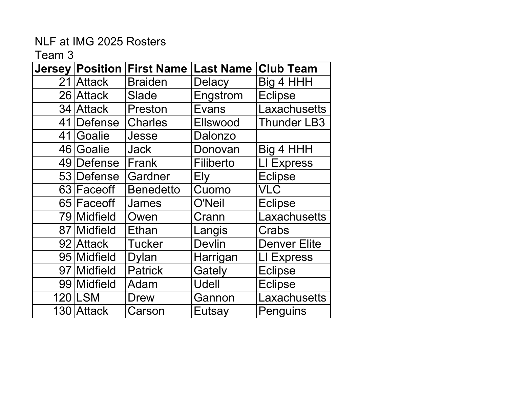| <b>Jersey</b> | <b>Position</b>          | <b>First Name</b> | <b>Last Name</b> | <b>Club Team</b>    |
|---------------|--------------------------|-------------------|------------------|---------------------|
|               | 21 Attack                | <b>Braiden</b>    | <b>Delacy</b>    | Big 4 HHH           |
|               | 26 Attack                | <b>Slade</b>      | Engstrom         | <b>Eclipse</b>      |
|               | 34 Attack                | Preston           | Evans            | Laxachusetts        |
|               | 41 Defense               | <b>Charles</b>    | Ellswood         | <b>Thunder LB3</b>  |
|               | 41 Goalie                | Jesse             | Dalonzo          |                     |
|               | 46 Goalie                | <b>Jack</b>       | Donovan          | Big 4 HHH           |
|               | 49 Defense               | Frank             | Filiberto        | LI Express          |
|               | 53 Defense               | Gardner           | Ely              | <b>Eclipse</b>      |
|               | 63 Faceoff               | <b>Benedetto</b>  | Cuomo            | <b>VLC</b>          |
|               | 65 Face off              | James             | O'Neil           | <b>Eclipse</b>      |
|               | 79 Midfield              | Owen              | Crann            | Laxachusetts        |
|               | $\overline{87}$ Midfield | <b>Ethan</b>      | Langis           | Crabs               |
|               | 92 Attack                | <b>Tucker</b>     | <b>Devlin</b>    | <b>Denver Elite</b> |
|               | 95 Midfield              | <b>Dylan</b>      | Harrigan         | LI Express          |
|               | 97 Midfield              | <b>Patrick</b>    | Gately           | <b>Eclipse</b>      |
|               | 99 Midfield              | Adam              | Udell            | <b>Eclipse</b>      |
|               | <b>120 LSM</b>           | Drew              | Gannon           | Laxachusetts        |
|               | 130 Attack               | Carson            | Eutsay           | Penguins            |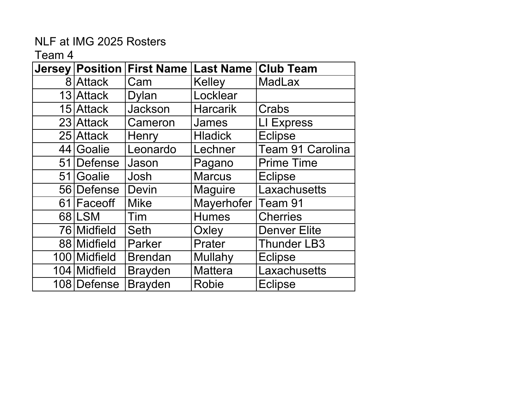| <b>Jersey</b> | <b>Position</b> | <b>First Name</b> | <b>Last Name</b> | <b>Club Team</b>    |
|---------------|-----------------|-------------------|------------------|---------------------|
|               | 8 Attack        | Cam               | Kelley           | <b>MadLax</b>       |
|               | 13 Attack       | Dylan             | Locklear         |                     |
|               | 15 Attack       | Jackson           | <b>Harcarik</b>  | Crabs               |
|               | 23 Attack       | Cameron           | James            | <b>LI Express</b>   |
|               | 25 Attack       | Henry             | <b>Hladick</b>   | <b>Eclipse</b>      |
|               | 44 Goalie       | Leonardo          | Lechner          | Team 91 Carolina    |
| 51            | <b>Defense</b>  | Jason             | Pagano           | <b>Prime Time</b>   |
|               | 51 Goalie       | Josh              | <b>Marcus</b>    | <b>Eclipse</b>      |
|               | 56 Defense      | <b>Devin</b>      | <b>Maguire</b>   | Laxachusetts        |
|               | 61 Face off     | <b>Mike</b>       | Mayerhofer       | Team 91             |
|               | 68 LSM          | Tim               | <b>Humes</b>     | <b>Cherries</b>     |
|               | 76 Midfield     | <b>Seth</b>       | Oxley            | <b>Denver Elite</b> |
|               | 88 Midfield     | Parker            | Prater           | <b>Thunder LB3</b>  |
|               | 100 Midfield    | <b>Brendan</b>    | Mullahy          | <b>Eclipse</b>      |
|               | 104 Midfield    | <b>Brayden</b>    | <b>Mattera</b>   | Laxachusetts        |
|               | 108 Defense     | <b>Brayden</b>    | <b>Robie</b>     | <b>Eclipse</b>      |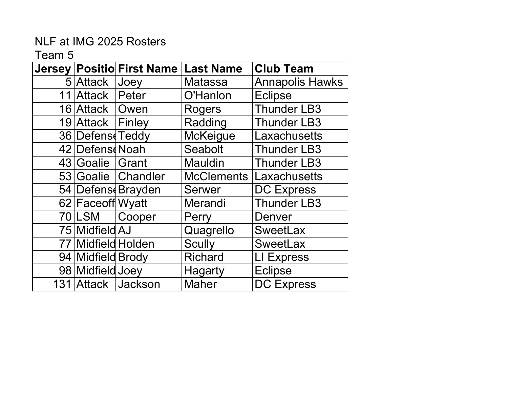|                    | Jersey   Positio  First Name | <b>Last Name</b>  | <b>Club Team</b>       |
|--------------------|------------------------------|-------------------|------------------------|
| 5 Attack           | Joey                         | <b>Matassa</b>    | <b>Annapolis Hawks</b> |
| 11 Attack          | Peter                        | O'Hanlon          | <b>Eclipse</b>         |
| 16 Attack   Owen   |                              | Rogers            | <b>Thunder LB3</b>     |
| 19 Attack Finley   |                              | Radding           | <b>Thunder LB3</b>     |
| 36 Defens Teddy    |                              | <b>McKeigue</b>   | Laxachusetts           |
| 42 Defens Noah     |                              | Seabolt           | <b>Thunder LB3</b>     |
| 43 Goalie Grant    |                              | <b>Mauldin</b>    | <b>Thunder LB3</b>     |
|                    | 53 Goalie Chandler           | <b>McClements</b> | Laxachusetts           |
|                    | 54 Defens Brayden            | <b>Serwer</b>     | <b>DC Express</b>      |
| 62 Face of J Wyatt |                              | Merandi           | <b>Thunder LB3</b>     |
| 70 LSM             | Cooper                       | Perry             | Denver                 |
| 75 Midfield AJ     |                              | Quagrello         | <b>SweetLax</b>        |
| 77 Midfield Holden |                              | <b>Scully</b>     | <b>SweetLax</b>        |
| 94 Midfield Brody  |                              | <b>Richard</b>    | LI Express             |
| 98 Midfield Joey   |                              | <b>Hagarty</b>    | <b>Eclipse</b>         |
|                    | 131 Attack Jackson           | <b>Maher</b>      | <b>DC Express</b>      |